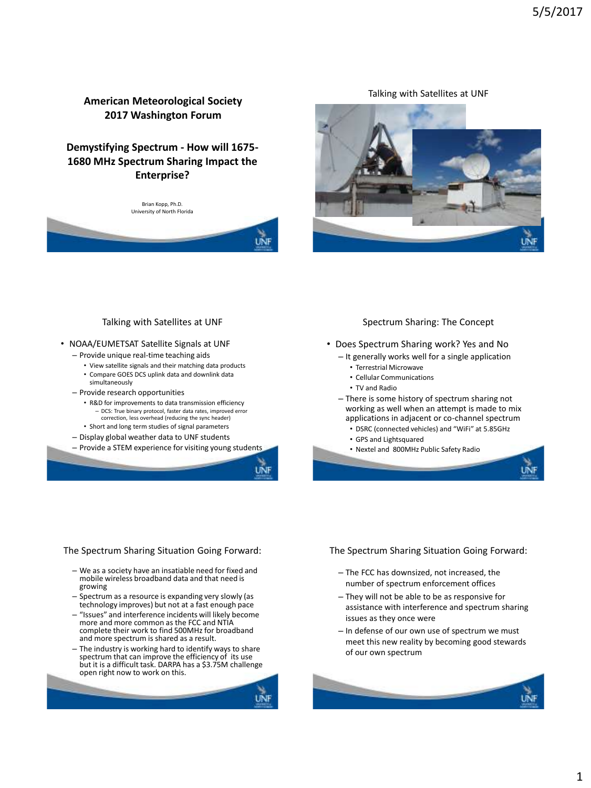## **American Meteorological Society 2017 Washington Forum**

# **Demystifying Spectrum - How will 1675- 1680 MHz Spectrum Sharing Impact the Enterprise?**

Brian Kopp, Ph.D. University of North Florida



Talking with Satellites at UNF



#### Talking with Satellites at UNF

- NOAA/EUMETSAT Satellite Signals at UNF
	- Provide unique real-time teaching aids
		- View satellite signals and their matching data products
		- Compare GOES DCS uplink data and downlink data simultaneously
	- Provide research opportunities
		- R&D for improvements to data transmission efficiency – DCS: True binary protocol, faster data rates, improved error correction, less overhead (reducing the sync header)
		- Short and long term studies of signal parameters
	- Display global weather data to UNF students
	- Provide a STEM experience for visiting young students

#### Spectrum Sharing: The Concept

- Does Spectrum Sharing work? Yes and No
	- It generally works well for a single application
		- Terrestrial Microwave
		- Cellular Communications
		- TV and Radio
	- There is some history of spectrum sharing not working as well when an attempt is made to mix applications in adjacent or co-channel spectrum
		- DSRC (connected vehicles) and "WiFi" at 5.85GHz
		- GPS and Lightsquared
		- Nextel and 800MHz Public Safety Radio

#### The Spectrum Sharing Situation Going Forward:

- We as a society have an insatiable need for fixed and mobile wireless broadband data and that need is growing
- Spectrum as a resource is expanding very slowly (as technology improves) but not at a fast enough pace
- "Issues" and interference incidents will likely become more and more common as the FCC and NTIA complete their work to find 500MHz for broadband and more spectrum is shared as a result.
- The industry is working hard to identify ways to share spectrum that can improve the efficiency of its use but it is a difficult task. DARPA has a \$3.75M challenge open right now to work on this.

### The Spectrum Sharing Situation Going Forward:

- The FCC has downsized, not increased, the number of spectrum enforcement offices
- They will not be able to be as responsive for assistance with interference and spectrum sharing issues as they once were
- In defense of our own use of spectrum we must meet this new reality by becoming good stewards of our own spectrum